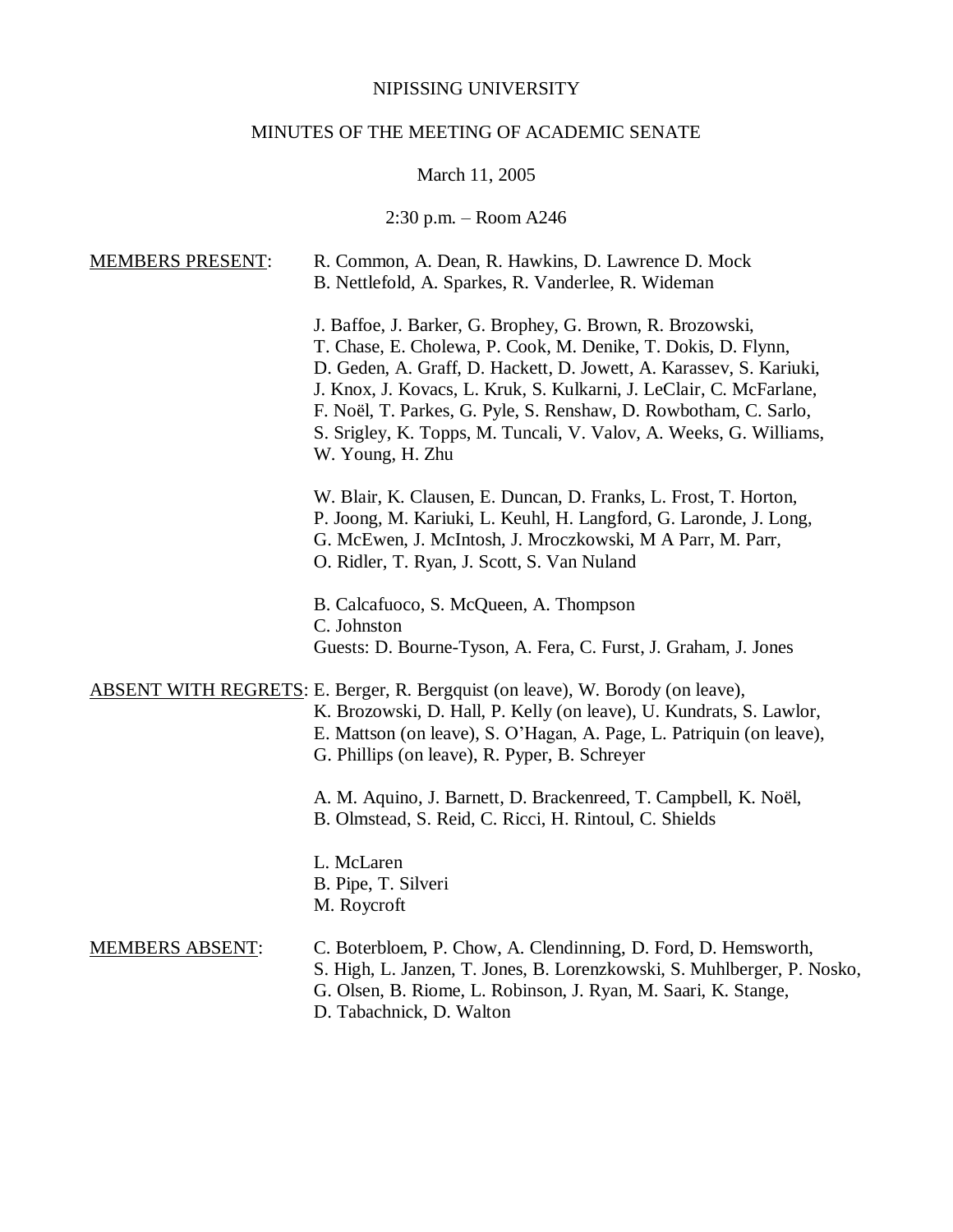## NIPISSING UNIVERSITY

## MINUTES OF THE MEETING OF ACADEMIC SENATE

# March 11, 2005

## 2:30 p.m. – Room A246

| <b>MEMBERS PRESENT:</b> | R. Common, A. Dean, R. Hawkins, D. Lawrence D. Mock<br>B. Nettlefold, A. Sparkes, R. Vanderlee, R. Wideman                                                                                                                                                                                                                                                                                                                             |
|-------------------------|----------------------------------------------------------------------------------------------------------------------------------------------------------------------------------------------------------------------------------------------------------------------------------------------------------------------------------------------------------------------------------------------------------------------------------------|
|                         | J. Baffoe, J. Barker, G. Brophey, G. Brown, R. Brozowski,<br>T. Chase, E. Cholewa, P. Cook, M. Denike, T. Dokis, D. Flynn,<br>D. Geden, A. Graff, D. Hackett, D. Jowett, A. Karassev, S. Kariuki,<br>J. Knox, J. Kovacs, L. Kruk, S. Kulkarni, J. LeClair, C. McFarlane,<br>F. Noël, T. Parkes, G. Pyle, S. Renshaw, D. Rowbotham, C. Sarlo,<br>S. Srigley, K. Topps, M. Tuncali, V. Valov, A. Weeks, G. Williams,<br>W. Young, H. Zhu |
|                         | W. Blair, K. Clausen, E. Duncan, D. Franks, L. Frost, T. Horton,<br>P. Joong, M. Kariuki, L. Keuhl, H. Langford, G. Laronde, J. Long,<br>G. McEwen, J. McIntosh, J. Mroczkowski, M A Parr, M. Parr,<br>O. Ridler, T. Ryan, J. Scott, S. Van Nuland                                                                                                                                                                                     |
|                         | B. Calcafuoco, S. McQueen, A. Thompson<br>C. Johnston<br>Guests: D. Bourne-Tyson, A. Fera, C. Furst, J. Graham, J. Jones                                                                                                                                                                                                                                                                                                               |
|                         | ABSENT WITH REGRETS: E. Berger, R. Bergquist (on leave), W. Borody (on leave),<br>K. Brozowski, D. Hall, P. Kelly (on leave), U. Kundrats, S. Lawlor,<br>E. Mattson (on leave), S. O'Hagan, A. Page, L. Patriquin (on leave),<br>G. Phillips (on leave), R. Pyper, B. Schreyer                                                                                                                                                         |
|                         | A. M. Aquino, J. Barnett, D. Brackenreed, T. Campbell, K. Noël,<br>B. Olmstead, S. Reid, C. Ricci, H. Rintoul, C. Shields                                                                                                                                                                                                                                                                                                              |
|                         | L. McLaren<br>B. Pipe, T. Silveri<br>M. Roycroft                                                                                                                                                                                                                                                                                                                                                                                       |
| <b>MEMBERS ABSENT:</b>  | C. Boterbloem, P. Chow, A. Clendinning, D. Ford, D. Hemsworth,<br>S. High, L. Janzen, T. Jones, B. Lorenzkowski, S. Muhlberger, P. Nosko,<br>G. Olsen, B. Riome, L. Robinson, J. Ryan, M. Saari, K. Stange,<br>D. Tabachnick, D. Walton                                                                                                                                                                                                |
|                         |                                                                                                                                                                                                                                                                                                                                                                                                                                        |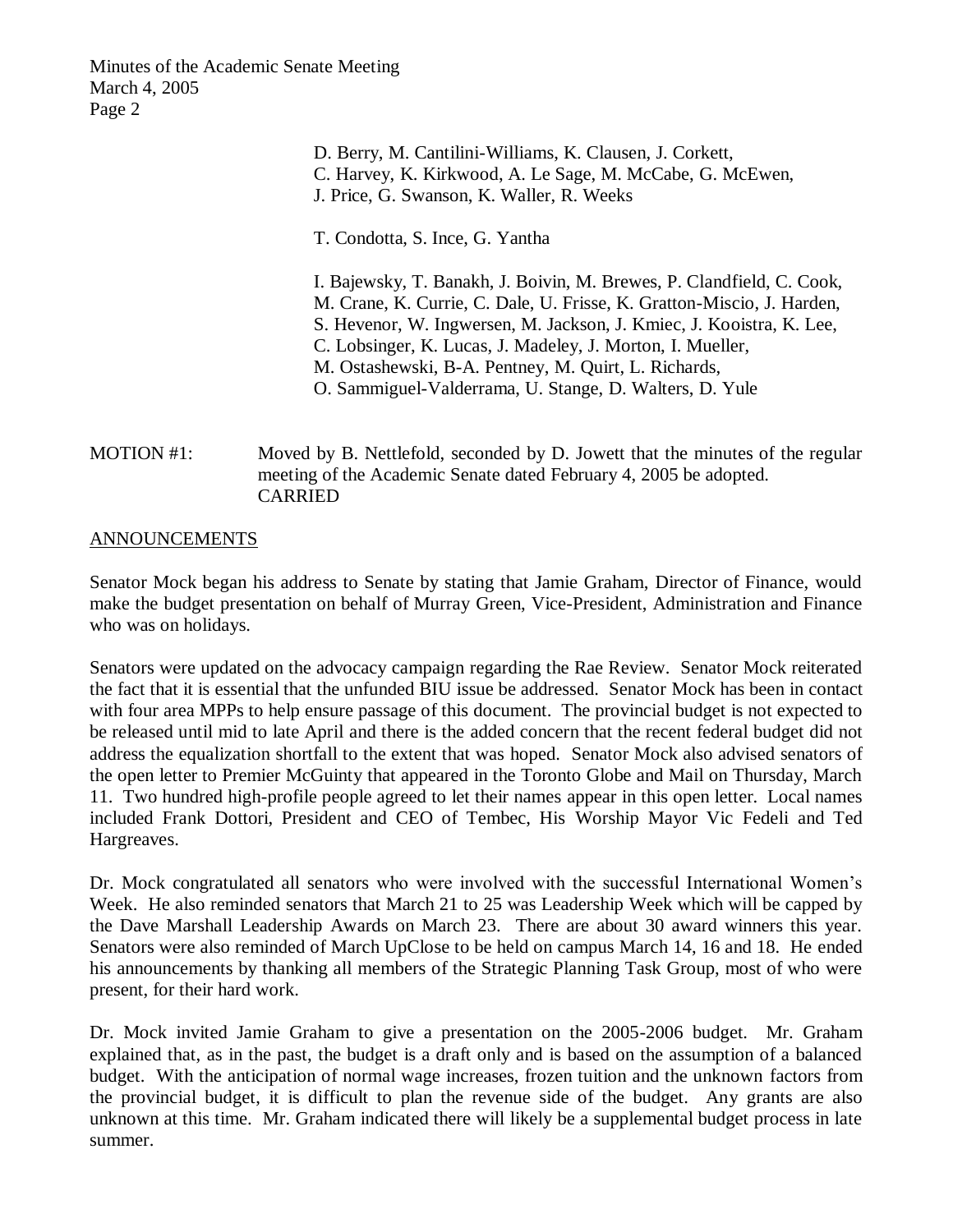Minutes of the Academic Senate Meeting March 4, 2005 Page 2

> D. Berry, M. Cantilini-Williams, K. Clausen, J. Corkett, C. Harvey, K. Kirkwood, A. Le Sage, M. McCabe, G. McEwen, J. Price, G. Swanson, K. Waller, R. Weeks

T. Condotta, S. Ince, G. Yantha

I. Bajewsky, T. Banakh, J. Boivin, M. Brewes, P. Clandfield, C. Cook, M. Crane, K. Currie, C. Dale, U. Frisse, K. Gratton-Miscio, J. Harden, S. Hevenor, W. Ingwersen, M. Jackson, J. Kmiec, J. Kooistra, K. Lee, C. Lobsinger, K. Lucas, J. Madeley, J. Morton, I. Mueller, M. Ostashewski, B-A. Pentney, M. Quirt, L. Richards, O. Sammiguel-Valderrama, U. Stange, D. Walters, D. Yule

MOTION #1: Moved by B. Nettlefold, seconded by D. Jowett that the minutes of the regular meeting of the Academic Senate dated February 4, 2005 be adopted. CARRIED

## ANNOUNCEMENTS

Senator Mock began his address to Senate by stating that Jamie Graham, Director of Finance, would make the budget presentation on behalf of Murray Green, Vice-President, Administration and Finance who was on holidays.

Senators were updated on the advocacy campaign regarding the Rae Review. Senator Mock reiterated the fact that it is essential that the unfunded BIU issue be addressed. Senator Mock has been in contact with four area MPPs to help ensure passage of this document. The provincial budget is not expected to be released until mid to late April and there is the added concern that the recent federal budget did not address the equalization shortfall to the extent that was hoped. Senator Mock also advised senators of the open letter to Premier McGuinty that appeared in the Toronto Globe and Mail on Thursday, March 11. Two hundred high-profile people agreed to let their names appear in this open letter. Local names included Frank Dottori, President and CEO of Tembec, His Worship Mayor Vic Fedeli and Ted Hargreaves.

Dr. Mock congratulated all senators who were involved with the successful International Women's Week. He also reminded senators that March 21 to 25 was Leadership Week which will be capped by the Dave Marshall Leadership Awards on March 23. There are about 30 award winners this year. Senators were also reminded of March UpClose to be held on campus March 14, 16 and 18. He ended his announcements by thanking all members of the Strategic Planning Task Group, most of who were present, for their hard work.

Dr. Mock invited Jamie Graham to give a presentation on the 2005-2006 budget. Mr. Graham explained that, as in the past, the budget is a draft only and is based on the assumption of a balanced budget. With the anticipation of normal wage increases, frozen tuition and the unknown factors from the provincial budget, it is difficult to plan the revenue side of the budget. Any grants are also unknown at this time. Mr. Graham indicated there will likely be a supplemental budget process in late summer.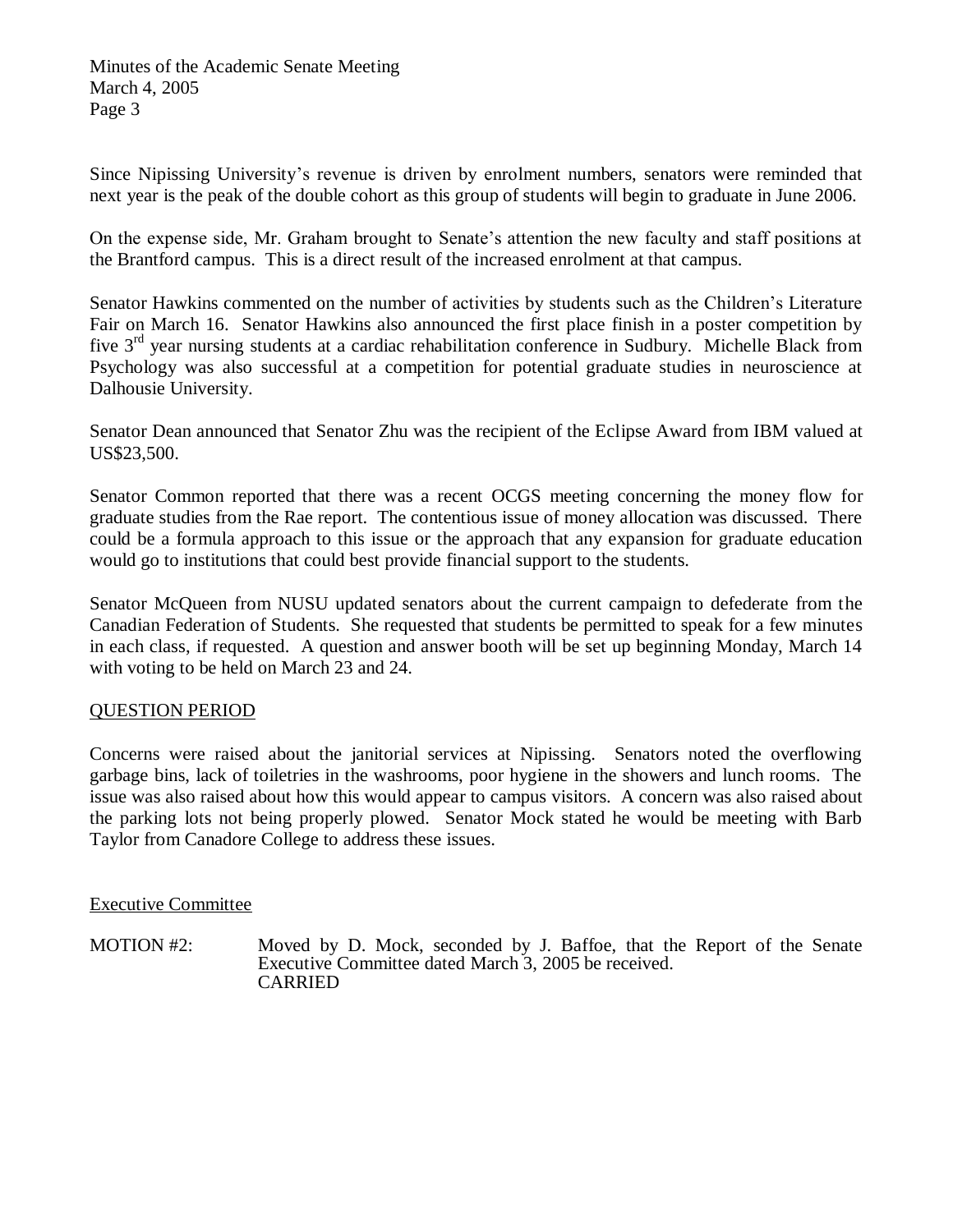Since Nipissing University's revenue is driven by enrolment numbers, senators were reminded that next year is the peak of the double cohort as this group of students will begin to graduate in June 2006.

On the expense side, Mr. Graham brought to Senate's attention the new faculty and staff positions at the Brantford campus. This is a direct result of the increased enrolment at that campus.

Senator Hawkins commented on the number of activities by students such as the Children's Literature Fair on March 16. Senator Hawkins also announced the first place finish in a poster competition by five  $3<sup>rd</sup>$  year nursing students at a cardiac rehabilitation conference in Sudbury. Michelle Black from Psychology was also successful at a competition for potential graduate studies in neuroscience at Dalhousie University.

Senator Dean announced that Senator Zhu was the recipient of the Eclipse Award from IBM valued at US\$23,500.

Senator Common reported that there was a recent OCGS meeting concerning the money flow for graduate studies from the Rae report. The contentious issue of money allocation was discussed. There could be a formula approach to this issue or the approach that any expansion for graduate education would go to institutions that could best provide financial support to the students.

Senator McQueen from NUSU updated senators about the current campaign to defederate from the Canadian Federation of Students. She requested that students be permitted to speak for a few minutes in each class, if requested. A question and answer booth will be set up beginning Monday, March 14 with voting to be held on March 23 and 24.

## QUESTION PERIOD

Concerns were raised about the janitorial services at Nipissing. Senators noted the overflowing garbage bins, lack of toiletries in the washrooms, poor hygiene in the showers and lunch rooms. The issue was also raised about how this would appear to campus visitors. A concern was also raised about the parking lots not being properly plowed. Senator Mock stated he would be meeting with Barb Taylor from Canadore College to address these issues.

## Executive Committee

MOTION #2: Moved by D. Mock, seconded by J. Baffoe, that the Report of the Senate Executive Committee dated March 3, 2005 be received. CARRIED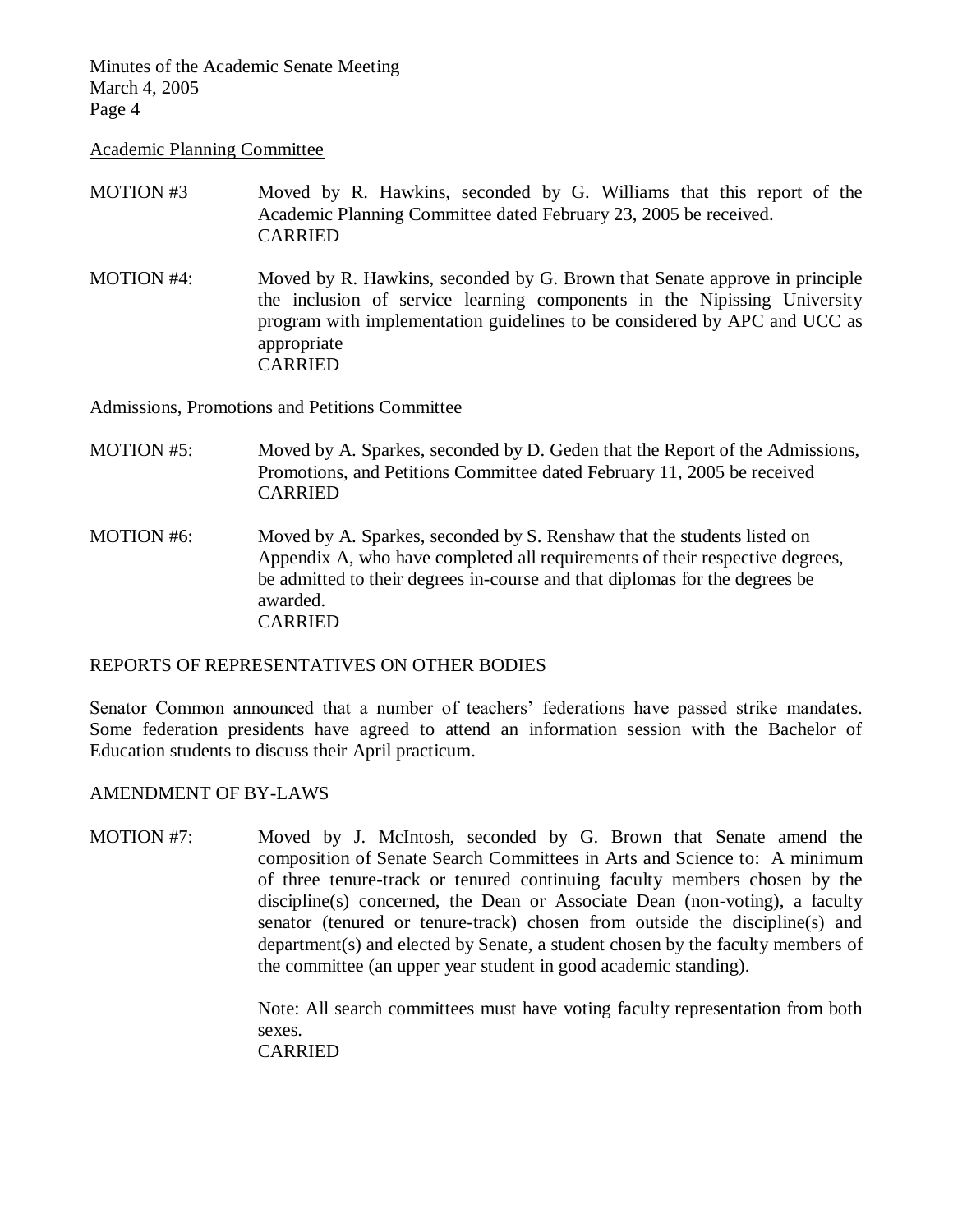Minutes of the Academic Senate Meeting March 4, 2005 Page 4

Academic Planning Committee

- MOTION #3 Moved by R. Hawkins, seconded by G. Williams that this report of the Academic Planning Committee dated February 23, 2005 be received. CARRIED
- MOTION #4: Moved by R. Hawkins, seconded by G. Brown that Senate approve in principle the inclusion of service learning components in the Nipissing University program with implementation guidelines to be considered by APC and UCC as appropriate CARRIED

Admissions, Promotions and Petitions Committee

- MOTION #5: Moved by A. Sparkes, seconded by D. Geden that the Report of the Admissions, Promotions, and Petitions Committee dated February 11, 2005 be received CARRIED
- MOTION #6: Moved by A. Sparkes, seconded by S. Renshaw that the students listed on Appendix A, who have completed all requirements of their respective degrees, be admitted to their degrees in-course and that diplomas for the degrees be awarded. CARRIED

### REPORTS OF REPRESENTATIVES ON OTHER BODIES

Senator Common announced that a number of teachers' federations have passed strike mandates. Some federation presidents have agreed to attend an information session with the Bachelor of Education students to discuss their April practicum.

### AMENDMENT OF BY-LAWS

MOTION #7: Moved by J. McIntosh, seconded by G. Brown that Senate amend the composition of Senate Search Committees in Arts and Science to: A minimum of three tenure-track or tenured continuing faculty members chosen by the discipline(s) concerned, the Dean or Associate Dean (non-voting), a faculty senator (tenured or tenure-track) chosen from outside the discipline(s) and department(s) and elected by Senate, a student chosen by the faculty members of the committee (an upper year student in good academic standing).

> Note: All search committees must have voting faculty representation from both sexes. CARRIED